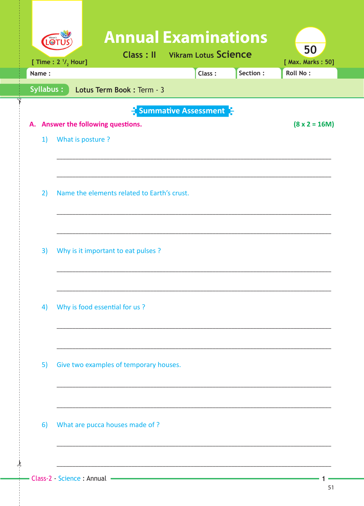| [ Time : $2 \frac{1}{2}$ Hour]                                                                                           | [ Max. Marks: 50] |
|--------------------------------------------------------------------------------------------------------------------------|-------------------|
| Section:<br><b>Roll No:</b><br>Name:<br>Class:                                                                           |                   |
| Syllabus:<br>Lotus Term Book: Term - 3                                                                                   |                   |
| <b>E</b> Summative Assessment<br>$(8 \times 2 = 16M)$<br>Answer the following questions.<br>А.<br>What is posture?<br>1) |                   |
| Name the elements related to Earth's crust.<br>2)                                                                        |                   |
| 3)<br>Why is it important to eat pulses ?                                                                                |                   |
| Why is food essential for us?<br>4)                                                                                      |                   |
| Give two examples of temporary houses.<br>5)                                                                             |                   |
| What are pucca houses made of?<br>6)                                                                                     |                   |

 $1<sup>1</sup>$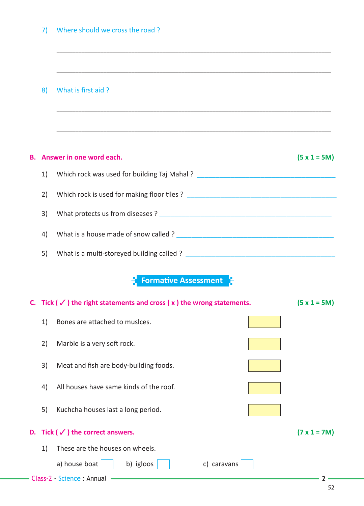## 8) What is first aid ?

# **B. Answer in one word each. (5 x 1 = 5M)** 1) Which rock was used for building Taj Mahal ? \_\_\_\_\_\_\_\_\_\_\_\_\_\_\_\_\_\_\_\_\_\_\_\_\_\_\_\_\_\_\_\_ 2) Which rock is used for making floor tiles ? \_\_\_\_\_\_\_\_\_\_\_\_\_\_\_\_\_\_\_\_\_\_\_\_\_\_\_\_\_\_\_\_\_ 3) What protects us from diseases ? 4) What is a house made of snow called ? \_\_\_\_\_\_\_\_\_\_\_\_\_\_\_\_\_\_\_\_\_\_\_\_\_\_\_\_\_\_\_\_\_\_\_\_\_\_\_\_\_\_ 5) What is a multi-storeyed building called ? \_\_\_\_\_\_\_\_\_\_\_\_\_\_\_\_\_\_\_\_\_\_\_\_\_\_\_\_\_\_\_\_\_\_

\_\_\_\_\_\_\_\_\_\_\_\_\_\_\_\_\_\_\_\_\_\_\_\_\_\_\_\_\_\_\_\_\_\_\_\_\_\_\_\_\_\_\_\_\_\_\_\_\_\_\_\_\_\_\_\_\_\_\_\_\_\_\_\_\_\_\_\_\_\_\_\_\_\_\_\_\_\_\_\_\_\_\_\_\_\_\_\_

\_\_\_\_\_\_\_\_\_\_\_\_\_\_\_\_\_\_\_\_\_\_\_\_\_\_\_\_\_\_\_\_\_\_\_\_\_\_\_\_\_\_\_\_\_\_\_\_\_\_\_\_\_\_\_\_\_\_\_\_\_\_\_\_\_\_\_\_\_\_\_\_\_\_\_\_\_\_\_\_\_\_\_\_\_\_\_\_

\_\_\_\_\_\_\_\_\_\_\_\_\_\_\_\_\_\_\_\_\_\_\_\_\_\_\_\_\_\_\_\_\_\_\_\_\_\_\_\_\_\_\_\_\_\_\_\_\_\_\_\_\_\_\_\_\_\_\_\_\_\_\_\_\_\_\_\_\_\_\_\_\_\_\_\_\_\_\_\_\_\_\_\_\_\_\_\_

\_\_\_\_\_\_\_\_\_\_\_\_\_\_\_\_\_\_\_\_\_\_\_\_\_\_\_\_\_\_\_\_\_\_\_\_\_\_\_\_\_\_\_\_\_\_\_\_\_\_\_\_\_\_\_\_\_\_\_\_\_\_\_\_\_\_\_\_\_\_\_\_\_\_\_\_\_\_\_\_\_\_\_\_\_\_\_\_

#### **Formative Assessment** 믯

|                                     | C. Tick ( $\checkmark$ ) the right statements and cross ( $x$ ) the wrong statements. |                                               |                     |  |  |
|-------------------------------------|---------------------------------------------------------------------------------------|-----------------------------------------------|---------------------|--|--|
|                                     | 1)                                                                                    | Bones are attached to musices.                |                     |  |  |
|                                     | 2)                                                                                    | Marble is a very soft rock.                   |                     |  |  |
|                                     | 3)                                                                                    | Meat and fish are body-building foods.        |                     |  |  |
|                                     | 4)                                                                                    | All houses have same kinds of the roof.       |                     |  |  |
|                                     | 5)                                                                                    | Kuchcha houses last a long period.            |                     |  |  |
|                                     |                                                                                       | D. Tick ( $\checkmark$ ) the correct answers. | $(7 \times 1 = 7M)$ |  |  |
|                                     | 1)                                                                                    | These are the houses on wheels.               |                     |  |  |
|                                     |                                                                                       | a) house boat<br>b) igloos<br>c) caravans     |                     |  |  |
| <b>- Class-2 - Science : Annual</b> |                                                                                       |                                               |                     |  |  |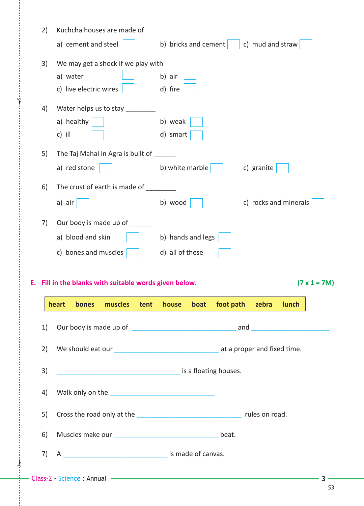|    | 2) | Kuchcha houses are made of                                                                                            |                      |                                     |
|----|----|-----------------------------------------------------------------------------------------------------------------------|----------------------|-------------------------------------|
|    |    | a) cement and steel                                                                                                   | b) bricks and cement | c) mud and straw                    |
|    | 3) | We may get a shock if we play with                                                                                    |                      |                                     |
|    |    | a) water                                                                                                              | b) air               |                                     |
|    |    | c) live electric wires                                                                                                | d) fire              |                                     |
|    | 4) | Water helps us to stay __                                                                                             |                      |                                     |
|    |    | a) healthy                                                                                                            | b) weak              |                                     |
|    |    | c) ill                                                                                                                | d) smart             |                                     |
|    | 5) | The Taj Mahal in Agra is built of ______                                                                              |                      |                                     |
|    |    | a) red stone                                                                                                          | b) white marble $ $  | c) granite                          |
|    | 6) | The crust of earth is made of ________                                                                                |                      |                                     |
|    |    | a) air                                                                                                                | b) wood              | c) rocks and minerals               |
|    | 7) | Our body is made up of                                                                                                |                      |                                     |
|    |    | a) blood and skin                                                                                                     | b) hands and legs    |                                     |
|    |    |                                                                                                                       |                      |                                     |
|    |    |                                                                                                                       |                      |                                     |
|    |    | c) bones and muscles                                                                                                  | d) all of these      |                                     |
|    |    |                                                                                                                       |                      |                                     |
| Е. |    | Fill in the blanks with suitable words given below.                                                                   |                      | $(7 \times 1 = 7M)$                 |
|    |    | muscles<br>tent<br>heart<br>bones                                                                                     | house boat           | foot path zebra<br><b>Example 1</b> |
|    | 1) |                                                                                                                       |                      |                                     |
|    |    |                                                                                                                       |                      |                                     |
|    | 2) |                                                                                                                       |                      |                                     |
|    | 3) | <b>CONSIDERING THE EXAMPLE 2016</b> The U.S. 2016 of the U.S. 2016 of the U.S. 2016 of the U.S. 2016 of the U.S. 2016 |                      |                                     |
|    | 4) |                                                                                                                       |                      |                                     |
|    |    |                                                                                                                       |                      |                                     |
|    | 5) |                                                                                                                       |                      |                                     |
|    | 6) |                                                                                                                       |                      |                                     |
|    | 7) |                                                                                                                       |                      |                                     |

 $\frac{1}{2}$ 

✁